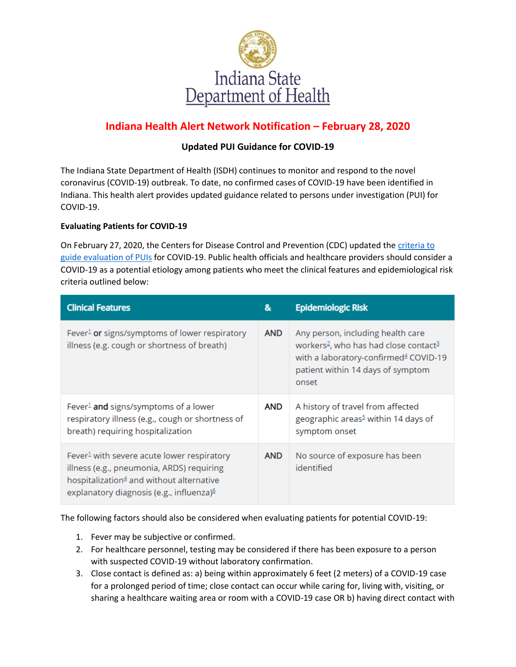

# **Indiana Health Alert Network Notification – February 28, 2020**

## **Updated PUI Guidance for COVID-19**

The Indiana State Department of Health (ISDH) continues to monitor and respond to the novel coronavirus (COVID-19) outbreak. To date, no confirmed cases of COVID-19 have been identified in Indiana. This health alert provides updated guidance related to persons under investigation (PUI) for COVID-19.

#### **Evaluating Patients for COVID-19**

On February 27, 2020, the Centers for Disease Control and Prevention (CDC) updated the criteria to [guide evaluation of](https://www.cdc.gov/coronavirus/2019-nCoV/hcp/clinical-criteria.html) PUIs for COVID-19. Public health officials and healthcare providers should consider a COVID-19 as a potential etiology among patients who meet the clinical features and epidemiological risk criteria outlined below:

| <b>Clinical Features</b>                                                                                                                                                                                            | &          | <b>Epidemiologic Risk</b>                                                                                                                                                                             |
|---------------------------------------------------------------------------------------------------------------------------------------------------------------------------------------------------------------------|------------|-------------------------------------------------------------------------------------------------------------------------------------------------------------------------------------------------------|
| Fever <sup>1</sup> or signs/symptoms of lower respiratory<br>illness (e.g. cough or shortness of breath)                                                                                                            | <b>AND</b> | Any person, including health care<br>workers <sup>2</sup> , who has had close contact <sup>3</sup><br>with a laboratory-confirmed <sup>4</sup> COVID-19<br>patient within 14 days of symptom<br>onset |
| Fever <sup>1</sup> and signs/symptoms of a lower<br>respiratory illness (e.g., cough or shortness of<br>breath) requiring hospitalization                                                                           | <b>AND</b> | A history of travel from affected<br>geographic areas <sup>5</sup> within 14 days of<br>symptom onset                                                                                                 |
| Fever <sup>1</sup> with severe acute lower respiratory<br>illness (e.g., pneumonia, ARDS) requiring<br>hospitalization <sup>4</sup> and without alternative<br>explanatory diagnosis (e.g., influenza) <sup>6</sup> | <b>AND</b> | No source of exposure has been<br>identified                                                                                                                                                          |

The following factors should also be considered when evaluating patients for potential COVID-19:

- 1. Fever may be subjective or confirmed.
- 2. For healthcare personnel, testing may be considered if there has been exposure to a person with suspected COVID-19 without laboratory confirmation.
- 3. Close contact is defined as: a) being within approximately 6 feet (2 meters) of a COVID-19 case for a prolonged period of time; close contact can occur while caring for, living with, visiting, or sharing a healthcare waiting area or room with a COVID-19 case OR b) having direct contact with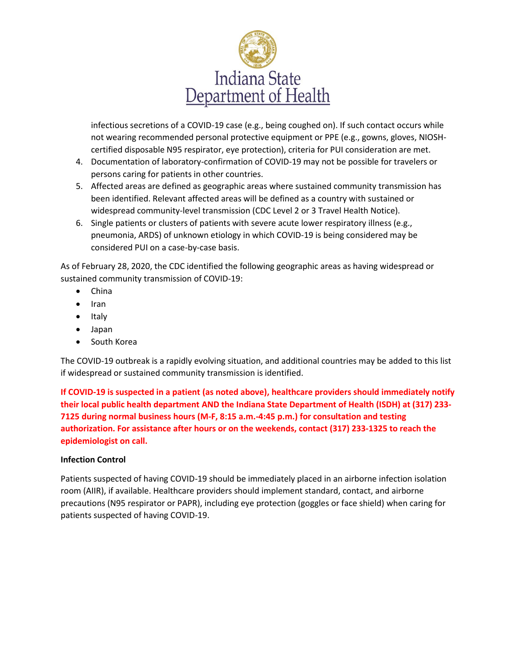

infectious secretions of a COVID-19 case (e.g., being coughed on). If such contact occurs while not wearing recommended personal protective equipment or PPE (e.g., gowns, gloves, NIOSHcertified disposable N95 respirator, eye protection), criteria for PUI consideration are met.

- 4. Documentation of laboratory-confirmation of COVID-19 may not be possible for travelers or persons caring for patients in other countries.
- 5. Affected areas are defined as geographic areas where sustained community transmission has been identified. Relevant affected areas will be defined as a country with sustained or widespread community-level transmission (CDC Level 2 or 3 Travel Health Notice).
- 6. Single patients or clusters of patients with severe acute lower respiratory illness (e.g., pneumonia, ARDS) of unknown etiology in which COVID-19 is being considered may be considered PUI on a case-by-case basis.

As of February 28, 2020, the CDC identified the following geographic areas as having widespread or sustained community transmission of COVID-19:

- China
- $\bullet$  Iran
- Italy
- Japan
- South Korea

The COVID-19 outbreak is a rapidly evolving situation, and additional countries may be added to this list if widespread or sustained community transmission is identified.

**If COVID-19 is suspected in a patient (as noted above), healthcare providers should immediately notify their local public health department AND the Indiana State Department of Health (ISDH) at (317) 233- 7125 during normal business hours (M-F, 8:15 a.m.-4:45 p.m.) for consultation and testing authorization. For assistance after hours or on the weekends, contact (317) 233-1325 to reach the epidemiologist on call.**

#### **Infection Control**

Patients suspected of having COVID-19 should be immediately placed in an airborne infection isolation room (AIIR), if available. Healthcare providers should implement standard, contact, and airborne precautions (N95 respirator or PAPR), including eye protection (goggles or face shield) when caring for patients suspected of having COVID-19.